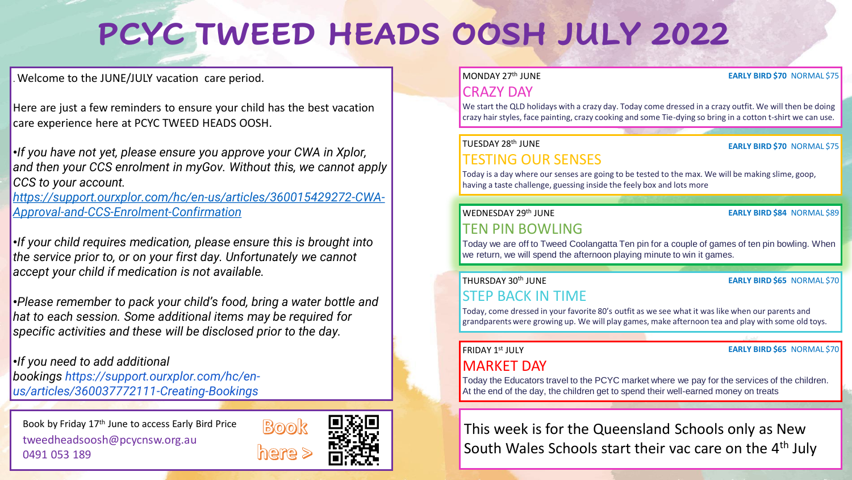# **PCYC TWEED HEADS OOSH JULY 2022**

. Welcome to the JUNE/JULY vacation care period.

Here are just a few reminders to ensure your child has the best vacation care experience here at PCYC TWEED HEADS OOSH.

•*If you have not yet, please ensure you approve your CWA in Xplor, and then your CCS enrolment in myGov. Without this, we cannot apply CCS to your account.*

*[https://support.ourxplor.com/hc/en-us/articles/360015429272-CWA-](https://support.ourxplor.com/hc/en-us/articles/360015429272-CWA-Approval-and-CCS-Enrolment-Confirmation)Approval-and-CCS-Enrolment-Confirmation*

•*If your child requires medication, please ensure this is brought into the service prior to, or on your first day. Unfortunately we cannot accept your child if medication is not available.*

•*Please remember to pack your child's food, bring a water bottle and hat to each session. Some additional items may be required for specific activities and these will be disclosed prior to the day.*

•*If you need to add additional bookings https://support.ourxplor.com/hc/enus/articles/360037772111-Creating-Bookings*

Book by Friday 17<sup>th</sup> June to access Early Bird Price tweedheadsoosh@pcycnsw.org.au 0491 053 189



#### MONDAY 27th JUNE

#### **EARLY BIRD \$70** NORMAL \$75

## CRAZY DAY

We start the QLD holidays with a crazy day. Today come dressed in a crazy outfit. We will then be doing crazy hair styles, face painting, crazy cooking and some Tie-dying so bring in a cotton t-shirt we can use.

#### TUESDAY 28th JUNE TESTING OUR SENSES

#### **EARLY BIRD \$70** NORMAL \$75

Today is a day where our senses are going to be tested to the max. We will be making slime, goop, having a taste challenge, guessing inside the feely box and lots more

#### WEDNESDAY 29th JUNE

#### **EARLY BIRD \$84** NORMAL \$89

TEN PIN BOWLING Today we are off to Tweed Coolangatta Ten pin for a couple of games of ten pin bowling. When we return, we will spend the afternoon playing minute to win it games.

#### THURSDAY 30th JUNE

#### **EARLY BIRD \$65** NORMAL \$70

**EARLY BIRD \$65** NORMAL \$70

### STEP BACK IN TIME

Today, come dressed in your favorite 80's outfit as we see what it was like when our parents and grandparents were growing up. We will play games, make afternoon tea and play with some old toys.

#### **FRIDAY 1st JULY**

### MARKET DAY

Today the Educators travel to the PCYC market where we pay for the services of the children. At the end of the day, the children get to spend their well-earned money on treats

This week is for the Queensland Schools only as New South Wales Schools start their vac care on the 4<sup>th</sup> July